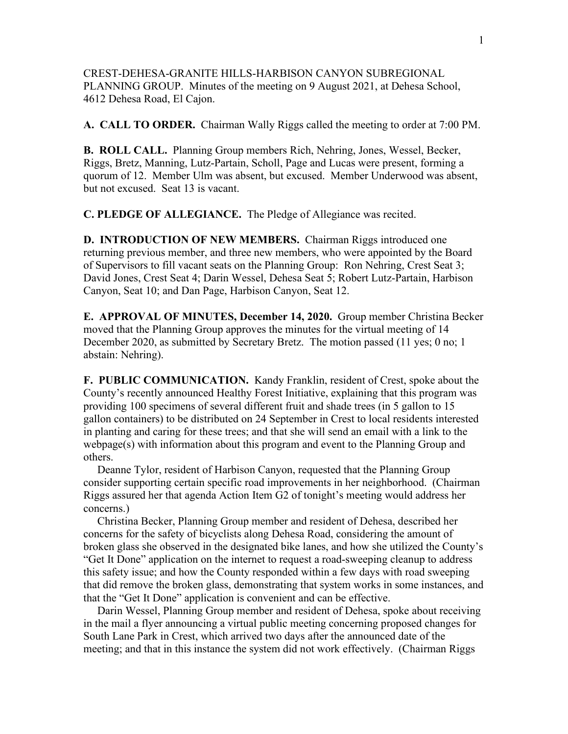CREST-DEHESA-GRANITE HILLS-HARBISON CANYON SUBREGIONAL PLANNING GROUP. Minutes of the meeting on 9 August 2021, at Dehesa School, 4612 Dehesa Road, El Cajon.

**A. CALL TO ORDER.** Chairman Wally Riggs called the meeting to order at 7:00 PM.

**B. ROLL CALL.** Planning Group members Rich, Nehring, Jones, Wessel, Becker, Riggs, Bretz, Manning, Lutz-Partain, Scholl, Page and Lucas were present, forming a quorum of 12. Member Ulm was absent, but excused. Member Underwood was absent, but not excused. Seat 13 is vacant.

**C. PLEDGE OF ALLEGIANCE.** The Pledge of Allegiance was recited.

**D. INTRODUCTION OF NEW MEMBERS.** Chairman Riggs introduced one returning previous member, and three new members, who were appointed by the Board of Supervisors to fill vacant seats on the Planning Group: Ron Nehring, Crest Seat 3; David Jones, Crest Seat 4; Darin Wessel, Dehesa Seat 5; Robert Lutz-Partain, Harbison Canyon, Seat 10; and Dan Page, Harbison Canyon, Seat 12.

**E. APPROVAL OF MINUTES, December 14, 2020.** Group member Christina Becker moved that the Planning Group approves the minutes for the virtual meeting of 14 December 2020, as submitted by Secretary Bretz. The motion passed (11 yes; 0 no; 1 abstain: Nehring).

**F. PUBLIC COMMUNICATION.** Kandy Franklin, resident of Crest, spoke about the County's recently announced Healthy Forest Initiative, explaining that this program was providing 100 specimens of several different fruit and shade trees (in 5 gallon to 15 gallon containers) to be distributed on 24 September in Crest to local residents interested in planting and caring for these trees; and that she will send an email with a link to the webpage(s) with information about this program and event to the Planning Group and others.

 Deanne Tylor, resident of Harbison Canyon, requested that the Planning Group consider supporting certain specific road improvements in her neighborhood. (Chairman Riggs assured her that agenda Action Item G2 of tonight's meeting would address her concerns.)

 Christina Becker, Planning Group member and resident of Dehesa, described her concerns for the safety of bicyclists along Dehesa Road, considering the amount of broken glass she observed in the designated bike lanes, and how she utilized the County's "Get It Done" application on the internet to request a road-sweeping cleanup to address this safety issue; and how the County responded within a few days with road sweeping that did remove the broken glass, demonstrating that system works in some instances, and that the "Get It Done" application is convenient and can be effective.

 Darin Wessel, Planning Group member and resident of Dehesa, spoke about receiving in the mail a flyer announcing a virtual public meeting concerning proposed changes for South Lane Park in Crest, which arrived two days after the announced date of the meeting; and that in this instance the system did not work effectively. (Chairman Riggs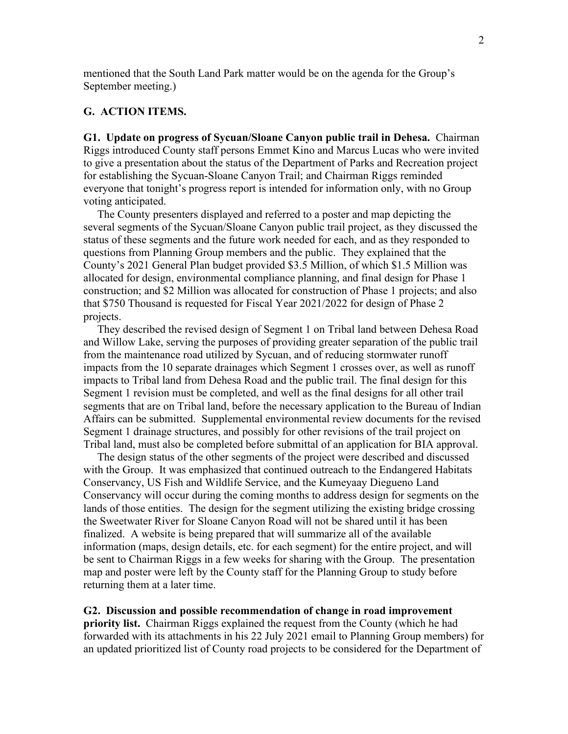mentioned that the South Land Park matter would be on the agenda for the Group's September meeting.)

## **G. ACTION ITEMS.**

**G1. Update on progress of Sycuan/Sloane Canyon public trail in Dehesa.** Chairman Riggs introduced County staff persons Emmet Kino and Marcus Lucas who were invited to give a presentation about the status of the Department of Parks and Recreation project for establishing the Sycuan-Sloane Canyon Trail; and Chairman Riggs reminded everyone that tonight's progress report is intended for information only, with no Group voting anticipated.

 The County presenters displayed and referred to a poster and map depicting the several segments of the Sycuan/Sloane Canyon public trail project, as they discussed the status of these segments and the future work needed for each, and as they responded to questions from Planning Group members and the public. They explained that the County's 2021 General Plan budget provided \$3.5 Million, of which \$1.5 Million was allocated for design, environmental compliance planning, and final design for Phase 1 construction; and \$2 Million was allocated for construction of Phase 1 projects; and also that \$750 Thousand is requested for Fiscal Year 2021/2022 for design of Phase 2 projects.

 They described the revised design of Segment 1 on Tribal land between Dehesa Road and Willow Lake, serving the purposes of providing greater separation of the public trail from the maintenance road utilized by Sycuan, and of reducing stormwater runoff impacts from the 10 separate drainages which Segment 1 crosses over, as well as runoff impacts to Tribal land from Dehesa Road and the public trail. The final design for this Segment 1 revision must be completed, and well as the final designs for all other trail segments that are on Tribal land, before the necessary application to the Bureau of Indian Affairs can be submitted. Supplemental environmental review documents for the revised Segment 1 drainage structures, and possibly for other revisions of the trail project on Tribal land, must also be completed before submittal of an application for BIA approval.

 The design status of the other segments of the project were described and discussed with the Group. It was emphasized that continued outreach to the Endangered Habitats Conservancy, US Fish and Wildlife Service, and the Kumeyaay Diegueno Land Conservancy will occur during the coming months to address design for segments on the lands of those entities. The design for the segment utilizing the existing bridge crossing the Sweetwater River for Sloane Canyon Road will not be shared until it has been finalized. A website is being prepared that will summarize all of the available information (maps, design details, etc. for each segment) for the entire project, and will be sent to Chairman Riggs in a few weeks for sharing with the Group. The presentation map and poster were left by the County staff for the Planning Group to study before returning them at a later time.

## **G2. Discussion and possible recommendation of change in road improvement**

**priority list.** Chairman Riggs explained the request from the County (which he had forwarded with its attachments in his 22 July 2021 email to Planning Group members) for an updated prioritized list of County road projects to be considered for the Department of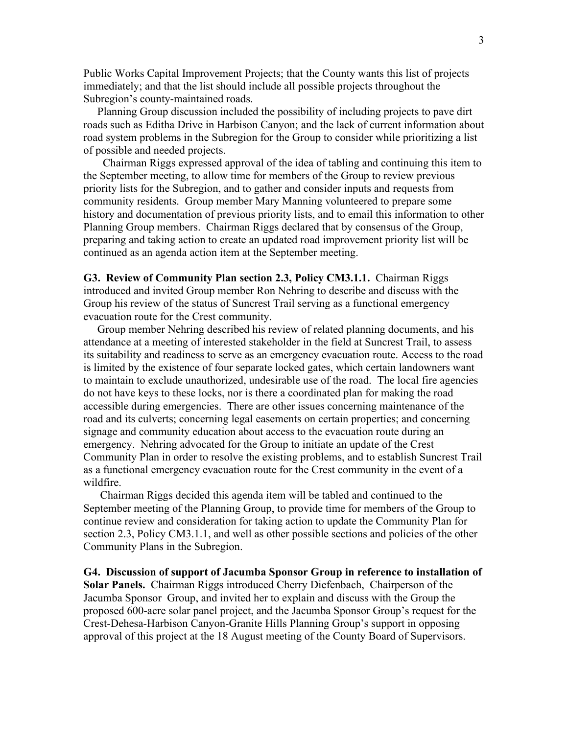Public Works Capital Improvement Projects; that the County wants this list of projects immediately; and that the list should include all possible projects throughout the Subregion's county-maintained roads.

 Planning Group discussion included the possibility of including projects to pave dirt roads such as Editha Drive in Harbison Canyon; and the lack of current information about road system problems in the Subregion for the Group to consider while prioritizing a list of possible and needed projects.

 Chairman Riggs expressed approval of the idea of tabling and continuing this item to the September meeting, to allow time for members of the Group to review previous priority lists for the Subregion, and to gather and consider inputs and requests from community residents. Group member Mary Manning volunteered to prepare some history and documentation of previous priority lists, and to email this information to other Planning Group members. Chairman Riggs declared that by consensus of the Group, preparing and taking action to create an updated road improvement priority list will be continued as an agenda action item at the September meeting.

**G3. Review of Community Plan section 2.3, Policy CM3.1.1.** Chairman Riggs introduced and invited Group member Ron Nehring to describe and discuss with the Group his review of the status of Suncrest Trail serving as a functional emergency evacuation route for the Crest community.

 Group member Nehring described his review of related planning documents, and his attendance at a meeting of interested stakeholder in the field at Suncrest Trail, to assess its suitability and readiness to serve as an emergency evacuation route. Access to the road is limited by the existence of four separate locked gates, which certain landowners want to maintain to exclude unauthorized, undesirable use of the road. The local fire agencies do not have keys to these locks, nor is there a coordinated plan for making the road accessible during emergencies. There are other issues concerning maintenance of the road and its culverts; concerning legal easements on certain properties; and concerning signage and community education about access to the evacuation route during an emergency. Nehring advocated for the Group to initiate an update of the Crest Community Plan in order to resolve the existing problems, and to establish Suncrest Trail as a functional emergency evacuation route for the Crest community in the event of a wildfire.

 Chairman Riggs decided this agenda item will be tabled and continued to the September meeting of the Planning Group, to provide time for members of the Group to continue review and consideration for taking action to update the Community Plan for section 2.3, Policy CM3.1.1, and well as other possible sections and policies of the other Community Plans in the Subregion.

**G4. Discussion of support of Jacumba Sponsor Group in reference to installation of Solar Panels.** Chairman Riggs introduced Cherry Diefenbach, Chairperson of the Jacumba Sponsor Group, and invited her to explain and discuss with the Group the proposed 600-acre solar panel project, and the Jacumba Sponsor Group's request for the Crest-Dehesa-Harbison Canyon-Granite Hills Planning Group's support in opposing approval of this project at the 18 August meeting of the County Board of Supervisors.